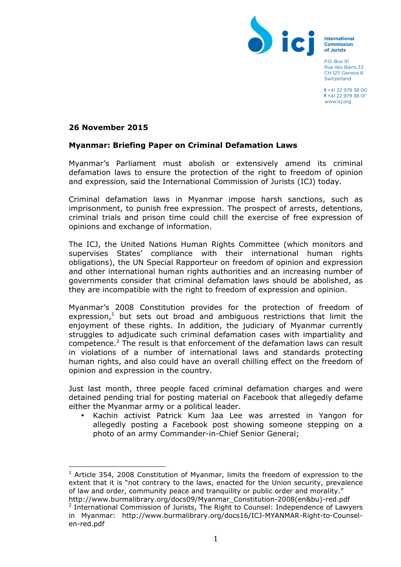

International Commission of Jurists

**PO Box 91** Rue des Bains 33 CH 1211 Geneva 8 Switzerland

 $t + 41$  22 979 38 00 f +41 22 979 38 01 www.icj.org

#### **26 November 2015**

#### **Myanmar: Briefing Paper on Criminal Defamation Laws**

Myanmar's Parliament must abolish or extensively amend its criminal defamation laws to ensure the protection of the right to freedom of opinion and expression, said the International Commission of Jurists (ICJ) today.

Criminal defamation laws in Myanmar impose harsh sanctions, such as imprisonment, to punish free expression. The prospect of arrests, detentions, criminal trials and prison time could chill the exercise of free expression of opinions and exchange of information.

The ICJ, the United Nations Human Rights Committee (which monitors and supervises States' compliance with their international human rights obligations), the UN Special Rapporteur on freedom of opinion and expression and other international human rights authorities and an increasing number of governments consider that criminal defamation laws should be abolished, as they are incompatible with the right to freedom of expression and opinion.

Myanmar's 2008 Constitution provides for the protection of freedom of expression,<sup>1</sup> but sets out broad and ambiguous restrictions that limit the enjoyment of these rights. In addition, the judiciary of Myanmar currently struggles to adjudicate such criminal defamation cases with impartiality and competence. $2$  The result is that enforcement of the defamation laws can result in violations of a number of international laws and standards protecting human rights, and also could have an overall chilling effect on the freedom of opinion and expression in the country.

Just last month, three people faced criminal defamation charges and were detained pending trial for posting material on Facebook that allegedly defame either the Myanmar army or a political leader.

• Kachin activist Patrick Kum Jaa Lee was arrested in Yangon for allegedly posting a Facebook post showing someone stepping on a photo of an army Commander-in-Chief Senior General;

  $1$  Article 354, 2008 Constitution of Myanmar, limits the freedom of expression to the extent that it is "not contrary to the laws, enacted for the Union security, prevalence of law and order, community peace and tranquility or public order and morality." http://www.burmalibrary.org/docs09/Myanmar\_Constitution-2008(en&bu)-red.pdf

 $2$  International Commission of Jurists, The Right to Counsel: Independence of Lawyers in Myanmar: http://www.burmalibrary.org/docs16/ICJ-MYANMAR-Right-to-Counselen-red.pdf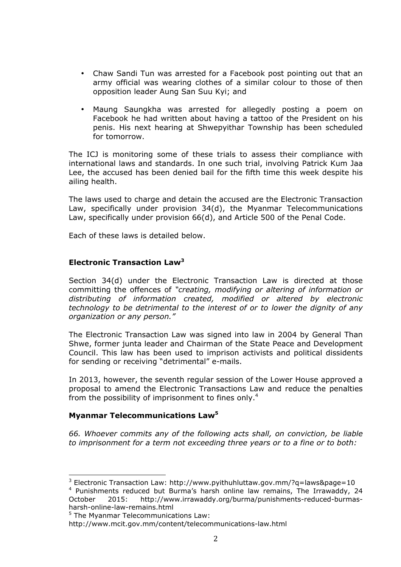- Chaw Sandi Tun was arrested for a Facebook post pointing out that an army official was wearing clothes of a similar colour to those of then opposition leader Aung San Suu Kyi; and
- Maung Saungkha was arrested for allegedly posting a poem on Facebook he had written about having a tattoo of the President on his penis. His next hearing at Shwepyithar Township has been scheduled for tomorrow.

The ICJ is monitoring some of these trials to assess their compliance with international laws and standards. In one such trial, involving Patrick Kum Jaa Lee, the accused has been denied bail for the fifth time this week despite his ailing health.

The laws used to charge and detain the accused are the Electronic Transaction Law, specifically under provision 34(d), the Myanmar Telecommunications Law, specifically under provision 66(d), and Article 500 of the Penal Code.

Each of these laws is detailed below.

# **Electronic Transaction Law<sup>3</sup>**

Section 34(d) under the Electronic Transaction Law is directed at those committing the offences of *"creating, modifying or altering of information or distributing of information created, modified or altered by electronic technology to be detrimental to the interest of or to lower the dignity of any organization or any person."*

The Electronic Transaction Law was signed into law in 2004 by General Than Shwe, former junta leader and Chairman of the State Peace and Development Council. This law has been used to imprison activists and political dissidents for sending or receiving "detrimental" e-mails.

In 2013, however, the seventh regular session of the Lower House approved a proposal to amend the Electronic Transactions Law and reduce the penalties from the possibility of imprisonment to fines only.<sup>4</sup>

## **Myanmar Telecommunications Law5**

*66. Whoever commits any of the following acts shall, on conviction, be liable to imprisonment for a term not exceeding three years or to a fine or to both:* 

  $3$  Electronic Transaction Law: http://www.pyithuhluttaw.gov.mm/?g=laws&page=10

<sup>&</sup>lt;sup>4</sup> Punishments reduced but Burma's harsh online law remains, The Irrawaddy, 24 October 2015: http://www.irrawaddy.org/burma/punishments-reduced-burmasharsh-online-law-remains.html

<sup>&</sup>lt;sup>5</sup> The Myanmar Telecommunications Law:

http://www.mcit.gov.mm/content/telecommunications-law.html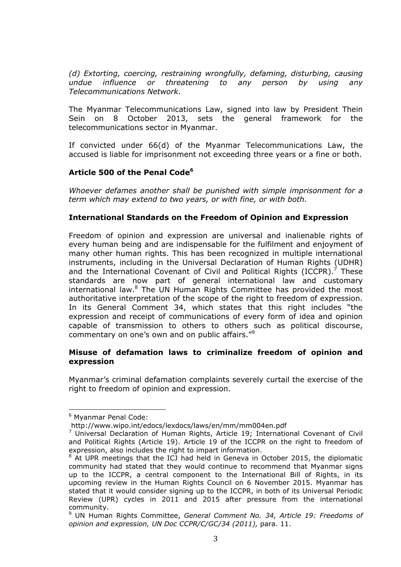*(d) Extorting, coercing, restraining wrongfully, defaming, disturbing, causing undue influence or threatening to any person by using any Telecommunications Network.*

The Myanmar Telecommunications Law, signed into law by President Thein Sein on 8 October 2013, sets the general framework for the telecommunications sector in Myanmar.

If convicted under 66(d) of the Myanmar Telecommunications Law, the accused is liable for imprisonment not exceeding three years or a fine or both.

## **Article 500 of the Penal Code<sup>6</sup>**

*Whoever defames another shall be punished with simple imprisonment for a term which may extend to two years, or with fine, or with both.*

## **International Standards on the Freedom of Opinion and Expression**

Freedom of opinion and expression are universal and inalienable rights of every human being and are indispensable for the fulfilment and enjoyment of many other human rights. This has been recognized in multiple international instruments, including in the Universal Declaration of Human Rights (UDHR) and the International Covenant of Civil and Political Rights (ICCPR). $^7$  These standards are now part of general international law and customary international law.<sup>8</sup> The UN Human Rights Committee has provided the most authoritative interpretation of the scope of the right to freedom of expression. In its General Comment 34, which states that this right includes "the expression and receipt of communications of every form of idea and opinion capable of transmission to others to others such as political discourse, commentary on one's own and on public affairs."<sup>9</sup>

#### **Misuse of defamation laws to criminalize freedom of opinion and expression**

Myanmar's criminal defamation complaints severely curtail the exercise of the right to freedom of opinion and expression.

 

<sup>&</sup>lt;sup>6</sup> Myanmar Penal Code:

http://www.wipo.int/edocs/lexdocs/laws/en/mm/mm004en.pdf

 $7$  Universal Declaration of Human Rights, Article 19; International Covenant of Civil and Political Rights (Article 19). Article 19 of the ICCPR on the right to freedom of expression, also includes the right to impart information.

 $8$  At UPR meetings that the ICJ had held in Geneva in October 2015, the diplomatic community had stated that they would continue to recommend that Myanmar signs up to the ICCPR, a central component to the International Bill of Rights, in its upcoming review in the Human Rights Council on 6 November 2015. Myanmar has stated that it would consider signing up to the ICCPR, in both of its Universal Periodic Review (UPR) cycles in 2011 and 2015 after pressure from the international community.

<sup>9</sup> UN Human Rights Committee, *General Comment No. 34, Article 19: Freedoms of*  opinion and expression, UN Doc CCPR/C/GC/34 (2011), para. 11.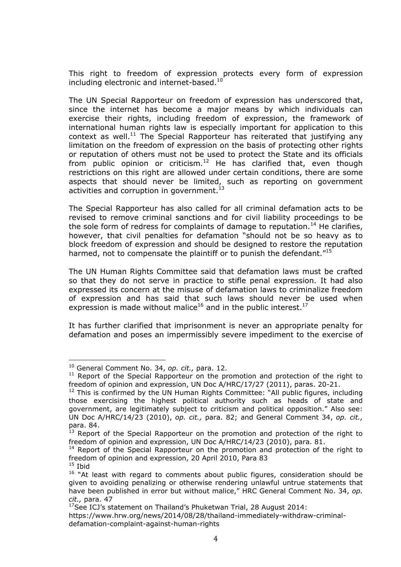This right to freedom of expression protects every form of expression including electronic and internet-based. $^{10}$ 

The UN Special Rapporteur on freedom of expression has underscored that, since the internet has become a major means by which individuals can exercise their rights, including freedom of expression, the framework of international human rights law is especially important for application to this context as well.<sup>11</sup> The Special Rapporteur has reiterated that justifying any limitation on the freedom of expression on the basis of protecting other rights or reputation of others must not be used to protect the State and its officials from public opinion or criticism.<sup>12</sup> He has clarified that, even though restrictions on this right are allowed under certain conditions, there are some aspects that should never be limited, such as reporting on government activities and corruption in government. $^{13}$ 

The Special Rapporteur has also called for all criminal defamation acts to be revised to remove criminal sanctions and for civil liability proceedings to be the sole form of redress for complaints of damage to reputation.<sup>14</sup> He clarifies, however, that civil penalties for defamation "should not be so heavy as to block freedom of expression and should be designed to restore the reputation harmed, not to compensate the plaintiff or to punish the defendant."<sup>15</sup>

The UN Human Rights Committee said that defamation laws must be crafted so that they do not serve in practice to stifle penal expression. It had also expressed its concern at the misuse of defamation laws to criminalize freedom of expression and has said that such laws should never be used when expression is made without malice<sup>16</sup> and in the public interest.<sup>17</sup>

It has further clarified that imprisonment is never an appropriate penalty for defamation and poses an impermissibly severe impediment to the exercise of

 

<sup>10</sup> General Comment No. 34, *op. cit.,* para. 12.

 $11$  Report of the Special Rapporteur on the promotion and protection of the right to freedom of opinion and expression, UN Doc A/HRC/17/27 (2011), paras. 20-21.

 $12$  This is confirmed by the UN Human Rights Committee: "All public figures, including those exercising the highest political authority such as heads of state and government, are legitimately subject to criticism and political opposition." Also see: UN Doc A/HRC/14/23 (2010), *op. cit.,* para. 82; and General Comment 34, *op. cit.,*  para. 84.

<sup>&</sup>lt;sup>13</sup> Report of the Special Rapporteur on the promotion and protection of the right to freedom of opinion and expression, UN Doc A/HRC/14/23 (2010), para. 81.

 $14$  Report of the Special Rapporteur on the promotion and protection of the right to freedom of opinion and expression, 20 April 2010, Para 83  $15$  Ibid

<sup>&</sup>lt;sup>16</sup> "At least with regard to comments about public figures, consideration should be given to avoiding penalizing or otherwise rendering unlawful untrue statements that have been published in error but without malice," HRC General Comment No. 34, *op. cit.,* para. 47

 $17$ See ICJ's statement on Thailand's Phuketwan Trial, 28 August 2014:

https://www.hrw.org/news/2014/08/28/thailand-immediately-withdraw-criminaldefamation-complaint-against-human-rights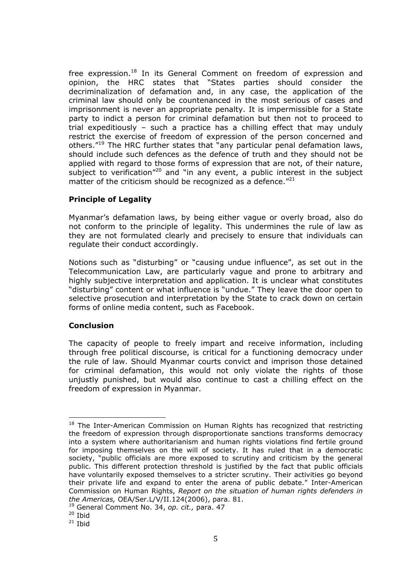free expression.<sup>18</sup> In its General Comment on freedom of expression and opinion, the HRC states that "States parties should consider the decriminalization of defamation and, in any case, the application of the criminal law should only be countenanced in the most serious of cases and imprisonment is never an appropriate penalty. It is impermissible for a State party to indict a person for criminal defamation but then not to proceed to trial expeditiously – such a practice has a chilling effect that may unduly restrict the exercise of freedom of expression of the person concerned and others."19 The HRC further states that "any particular penal defamation laws, should include such defences as the defence of truth and they should not be applied with regard to those forms of expression that are not, of their nature, subject to verification<sup> $n20$ </sup> and "in any event, a public interest in the subject matter of the criticism should be recognized as a defence."<sup>21</sup>

# **Principle of Legality**

Myanmar's defamation laws, by being either vague or overly broad, also do not conform to the principle of legality. This undermines the rule of law as they are not formulated clearly and precisely to ensure that individuals can regulate their conduct accordingly.

Notions such as "disturbing" or "causing undue influence", as set out in the Telecommunication Law, are particularly vague and prone to arbitrary and highly subjective interpretation and application. It is unclear what constitutes "disturbing" content or what influence is "undue." They leave the door open to selective prosecution and interpretation by the State to crack down on certain forms of online media content, such as Facebook.

## **Conclusion**

 

The capacity of people to freely impart and receive information, including through free political discourse, is critical for a functioning democracy under the rule of law. Should Myanmar courts convict and imprison those detained for criminal defamation, this would not only violate the rights of those unjustly punished, but would also continue to cast a chilling effect on the freedom of expression in Myanmar.

<sup>&</sup>lt;sup>18</sup> The Inter-American Commission on Human Rights has recognized that restricting the freedom of expression through disproportionate sanctions transforms democracy into a system where authoritarianism and human rights violations find fertile ground for imposing themselves on the will of society. It has ruled that in a democratic society, "public officials are more exposed to scrutiny and criticism by the general public. This different protection threshold is justified by the fact that public officials have voluntarily exposed themselves to a stricter scrutiny. Their activities go beyond their private life and expand to enter the arena of public debate." Inter-American Commission on Human Rights, *Report on the situation of human rights defenders in the Americas,* OEA/Ser.L/V/II.124(2006), para. 81.

<sup>19</sup> General Comment No. 34, *op. cit.,* para. 47

 $20$  Ibid

 $21$  Ibid